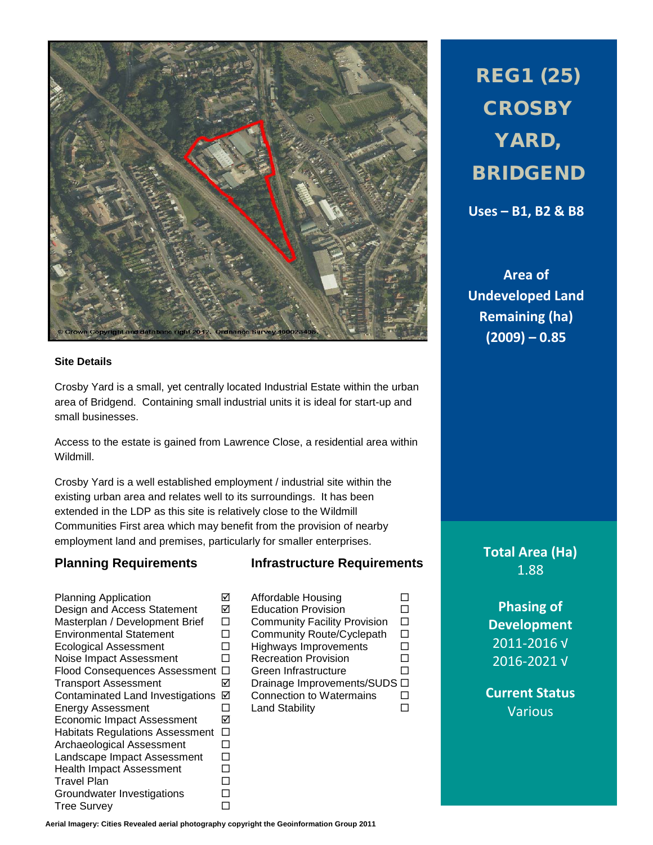

## **Site Details**

Crosby Yard is a small, yet centrally located Industrial Estate within the urban area of Bridgend. Containing small industrial units it is ideal for start-up and small businesses.

Access to the estate is gained from Lawrence Close, a residential area within Wildmill.

Crosby Yard is a well established employment / industrial site within the existing urban area and relates well to its surroundings. It has been extended in the LDP as this site is relatively close to the Wildmill Communities First area which may benefit from the provision of nearby employment land and premises, particularly for smaller enterprises.

## **Planning Requirements Infrastructure Requirements**

Planning Application Affordable Housing Design and Access Statement Masterplan / Development Brief  $\Box$  Community Facility Provision  $\Box$ <br>
Environmental Statement  $\Box$  Community Route/Cyclepath  $\Box$ Ecological Assessment  $\Box$  Highways Improvements  $\Box$  Noise Impact Assessment  $\Box$  Recreation Provision  $\Box$ Noise Impact Assessment  $\Box$  Recreation Provision  $\Box$ <br>Flood Consequences Assessment  $\Box$  Green Infrastructure  $\Box$ Flood Consequences Assessment  $\Box$ Transport Assessment Drainage Improvements/SUDS Contaminated Land Investigations **☑ Connection to Watermains** □<br>Energy Assessment □ Land Stability □ Energy Assessment  $\Box$  Land Stability  $\Box$ Economic Impact Assessment **Ø** Habitats Regulations Assessment  $\Box$ <br>Archaeological Assessment  $\Box$ Archaeological Assessment Landscape Impact Assessment  $\square$ Health Impact Assessment  $\square$ <br>Travel Plan Travel Plan<br>Groundwater Investigations □ Groundwater Investigations Tree Survey **Data Control** 

 $\square$  Community Route/Cyclepath<br>  $\square$  Highways Improvements

REG1 (25) **CROSBY** YARD, BRIDGEND

**Uses – B1, B2 & B8**

**Area of Undeveloped Land Remaining (ha) (2009) – 0.85**

> **Total Area (Ha)** 1.88

**Phasing of Development** 2011-2016 √ 2016-2021 √

**Current Status** Various

**Aerial Imagery: Cities Revealed aerial photography copyright the Geoinformation Group 2011**